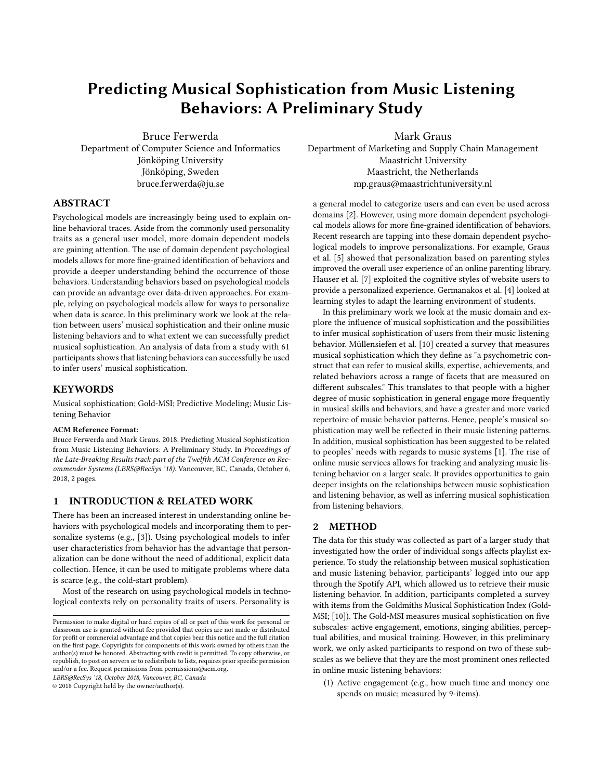# Predicting Musical Sophistication from Music Listening Behaviors: A Preliminary Study

Bruce Ferwerda Department of Computer Science and Informatics Jönköping University Jönköping, Sweden bruce.ferwerda@ju.se

Mark Graus Department of Marketing and Supply Chain Management Maastricht University Maastricht, the Netherlands mp.graus@maastrichtuniversity.nl

## ABSTRACT

Psychological models are increasingly being used to explain online behavioral traces. Aside from the commonly used personality traits as a general user model, more domain dependent models are gaining attention. The use of domain dependent psychological models allows for more fine-grained identification of behaviors and provide a deeper understanding behind the occurrence of those behaviors. Understanding behaviors based on psychological models can provide an advantage over data-driven approaches. For example, relying on psychological models allow for ways to personalize when data is scarce. In this preliminary work we look at the relation between users' musical sophistication and their online music listening behaviors and to what extent we can successfully predict musical sophistication. An analysis of data from a study with 61 participants shows that listening behaviors can successfully be used to infer users' musical sophistication.

## **KEYWORDS**

Musical sophistication; Gold-MSI; Predictive Modeling; Music Listening Behavior

#### ACM Reference Format:

Bruce Ferwerda and Mark Graus. 2018. Predicting Musical Sophistication from Music Listening Behaviors: A Preliminary Study. In Proceedings of the Late-Breaking Results track part of the Twelfth ACM Conference on Recommender Systems (LBRS@RecSys '18). Vancouver, BC, Canada, October 6, 2018, [2](#page-1-0) pages.

## 1 INTRODUCTION & RELATED WORK

There has been an increased interest in understanding online behaviors with psychological models and incorporating them to personalize systems (e.g., [\[3\]](#page-1-1)). Using psychological models to infer user characteristics from behavior has the advantage that personalization can be done without the need of additional, explicit data collection. Hence, it can be used to mitigate problems where data is scarce (e.g., the cold-start problem).

Most of the research on using psychological models in technological contexts rely on personality traits of users. Personality is

LBRS@RecSys '18, October 2018, Vancouver, BC, Canada

© 2018 Copyright held by the owner/author(s).

a general model to categorize users and can even be used across domains [\[2\]](#page-1-2). However, using more domain dependent psychological models allows for more fine-grained identification of behaviors. Recent research are tapping into these domain dependent psychological models to improve personalizations. For example, Graus et al. [\[5\]](#page-1-3) showed that personalization based on parenting styles improved the overall user experience of an online parenting library. Hauser et al. [\[7\]](#page-1-4) exploited the cognitive styles of website users to provide a personalized experience. Germanakos et al. [\[4\]](#page-1-5) looked at learning styles to adapt the learning environment of students.

In this preliminary work we look at the music domain and explore the influence of musical sophistication and the possibilities to infer musical sophistication of users from their music listening behavior. Müllensiefen et al. [\[10\]](#page-1-6) created a survey that measures musical sophistication which they define as "a psychometric construct that can refer to musical skills, expertise, achievements, and related behaviors across a range of facets that are measured on different subscales." This translates to that people with a higher degree of music sophistication in general engage more frequently in musical skills and behaviors, and have a greater and more varied repertoire of music behavior patterns. Hence, people's musical sophistication may well be reflected in their music listening patterns. In addition, musical sophistication has been suggested to be related to peoples' needs with regards to music systems [\[1\]](#page-1-7). The rise of online music services allows for tracking and analyzing music listening behavior on a larger scale. It provides opportunities to gain deeper insights on the relationships between music sophistication and listening behavior, as well as inferring musical sophistication from listening behaviors.

## 2 METHOD

The data for this study was collected as part of a larger study that investigated how the order of individual songs affects playlist experience. To study the relationship between musical sophistication and music listening behavior, participants' logged into our app through the Spotify API, which allowed us to retrieve their music listening behavior. In addition, participants completed a survey with items from the Goldmiths Musical Sophistication Index (Gold-MSI; [\[10\]](#page-1-6)). The Gold-MSI measures musical sophistication on five subscales: active engagement, emotions, singing abilities, perceptual abilities, and musical training. However, in this preliminary work, we only asked participants to respond on two of these subscales as we believe that they are the most prominent ones reflected in online music listening behaviors:

(1) Active engagement (e.g., how much time and money one spends on music; measured by 9-items).

Permission to make digital or hard copies of all or part of this work for personal or classroom use is granted without fee provided that copies are not made or distributed for profit or commercial advantage and that copies bear this notice and the full citation on the first page. Copyrights for components of this work owned by others than the author(s) must be honored. Abstracting with credit is permitted. To copy otherwise, or republish, to post on servers or to redistribute to lists, requires prior specific permission and/or a fee. Request permissions from permissions@acm.org.